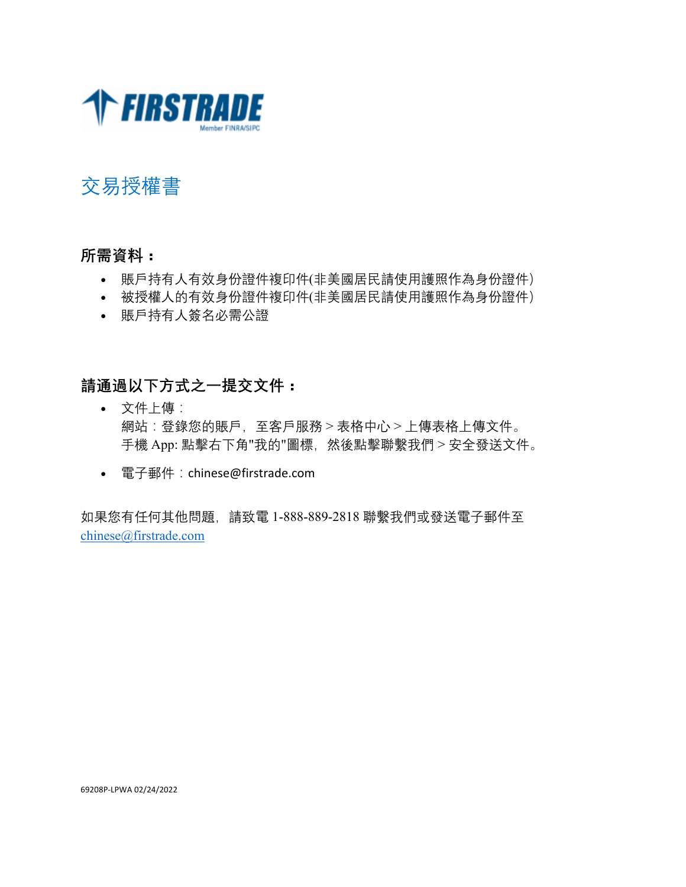

## 交易授權書

## **所需資料:**

- 賬戶持有人有效身份證件複印件(非美國居民請使用護照作為身份證件)
- 被授權人的有效身份證件複印件(非美國居民請使用護照作為身份證件)
- 賬戶持有人簽名必需公證

## **請通過以下方式之一提交文件:**

- 文件上傳: 網站:登錄您的賬戶,至客戶服務 > 表格中心 > 上傳表格上傳文件。 手機 App: 點擊右下角"我的"圖標, 然後點擊聯繫我們 > 安全發送文件。
- 電子郵件:chinese@firstrade.com

如果您有任何其他問題,請致電 1-888-889-2818 聯繫我們或發送電子郵件至 chinese@firstrade.com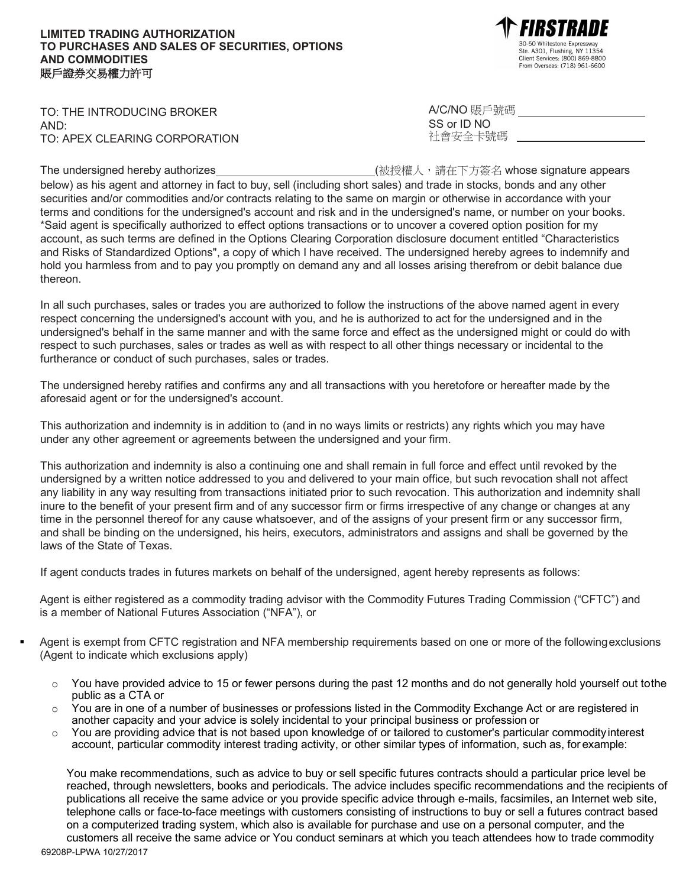## **LIMITED TRADING AUTHORIZATION TO PURCHASES AND SALES OF SECURITIES, OPTIONS AND COMMODITIES** 賬戶證券交易權力許可

Se So Wintestone Expressive Client Services: (800) 869-8800 From Overseas: (718) 961-6600

TO: THE INTRODUCING BROKER AND: TO: APEX CLEARING CORPORATION

The undersigned hereby authorizes (被授權人,請在下方簽名 whose signature appears below) as his agent and attorney in fact to buy, sell (including short sales) and trade in stocks, bonds and any other securities and/or commodities and/or contracts relating to the same on margin or otherwise in accordance with your terms and conditions for the undersigned's account and risk and in the undersigned's name, or number on your books. \*Said agent is specifically authorized to effect options transactions or to uncover a covered option position for my account, as such terms are defined in the Options Clearing Corporation disclosure document entitled "Characteristics and Risks of Standardized Options", a copy of which I have received. The undersigned hereby agrees to indemnify and hold you harmless from and to pay you promptly on demand any and all losses arising therefrom or debit balance due thereon.

In all such purchases, sales or trades you are authorized to follow the instructions of the above named agent in every respect concerning the undersigned's account with you, and he is authorized to act for the undersigned and in the undersigned's behalf in the same manner and with the same force and effect as the undersigned might or could do with respect to such purchases, sales or trades as well as with respect to all other things necessary or incidental to the furtherance or conduct of such purchases, sales or trades.

The undersigned hereby ratifies and confirms any and all transactions with you heretofore or hereafter made by the aforesaid agent or for the undersigned's account.

This authorization and indemnity is in addition to (and in no ways limits or restricts) any rights which you may have under any other agreement or agreements between the undersigned and your firm.

This authorization and indemnity is also a continuing one and shall remain in full force and effect until revoked by the undersigned by a written notice addressed to you and delivered to your main office, but such revocation shall not affect any liability in any way resulting from transactions initiated prior to such revocation. This authorization and indemnity shall inure to the benefit of your present firm and of any successor firm or firms irrespective of any change or changes at any time in the personnel thereof for any cause whatsoever, and of the assigns of your present firm or any successor firm, and shall be binding on the undersigned, his heirs, executors, administrators and assigns and shall be governed by the laws of the State of Texas.

If agent conducts trades in futures markets on behalf of the undersigned, agent hereby represents as follows:

Agent is either registered as a commodity trading advisor with the Commodity Futures Trading Commission ("CFTC") and is a member of National Futures Association ("NFA"), or

- Agent is exempt from CFTC registration and NFA membership requirements based on one or more of the following exclusions (Agent to indicate which exclusions apply)
	- o You have provided advice to 15 or fewer persons during the past 12 months and do not generally hold yourself out tothe public as a CTA or
	- o You are in one of a number of businesses or professions listed in the Commodity Exchange Act or are registered in another capacity and your advice is solely incidental to your principal business or profession or
	- $\circ$  You are providing advice that is not based upon knowledge of or tailored to customer's particular commodity interest account, particular commodity interest trading activity, or other similar types of information, such as, for example:

You make recommendations, such as advice to buy or sell specific futures contracts should a particular price level be reached, through newsletters, books and periodicals. The advice includes specific recommendations and the recipients of publications all receive the same advice or you provide specific advice through e-mails, facsimiles, an Internet web site, telephone calls or face-to-face meetings with customers consisting of instructions to buy or sell a futures contract based on a computerized trading system, which also is available for purchase and use on a personal computer, and the customers all receive the same advice or You conduct seminars at which you teach attendees how to trade commodity

A/C/NO 賬戶號碼

| SS or ID NO |  |         |  |  |  |  |
|-------------|--|---------|--|--|--|--|
|             |  | 社會安全卡號碼 |  |  |  |  |